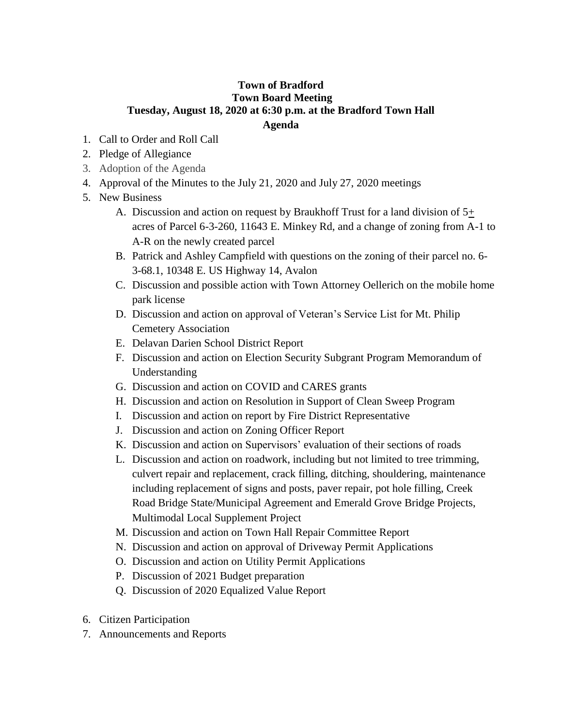## **Town of Bradford Town Board Meeting Tuesday, August 18, 2020 at 6:30 p.m. at the Bradford Town Hall Agenda**

- 1. Call to Order and Roll Call
- 2. Pledge of Allegiance
- 3. Adoption of the Agenda
- 4. Approval of the Minutes to the July 21, 2020 and July 27, 2020 meetings
- 5. New Business
	- A. Discussion and action on request by Braukhoff Trust for a land division of 5+ acres of Parcel 6-3-260, 11643 E. Minkey Rd, and a change of zoning from A-1 to A-R on the newly created parcel
	- B. Patrick and Ashley Campfield with questions on the zoning of their parcel no. 6- 3-68.1, 10348 E. US Highway 14, Avalon
	- C. Discussion and possible action with Town Attorney Oellerich on the mobile home park license
	- D. Discussion and action on approval of Veteran's Service List for Mt. Philip Cemetery Association
	- E. Delavan Darien School District Report
	- F. Discussion and action on Election Security Subgrant Program Memorandum of Understanding
	- G. Discussion and action on COVID and CARES grants
	- H. Discussion and action on Resolution in Support of Clean Sweep Program
	- I. Discussion and action on report by Fire District Representative
	- J. Discussion and action on Zoning Officer Report
	- K. Discussion and action on Supervisors' evaluation of their sections of roads
	- L. Discussion and action on roadwork, including but not limited to tree trimming, culvert repair and replacement, crack filling, ditching, shouldering, maintenance including replacement of signs and posts, paver repair, pot hole filling, Creek Road Bridge State/Municipal Agreement and Emerald Grove Bridge Projects, Multimodal Local Supplement Project
	- M. Discussion and action on Town Hall Repair Committee Report
	- N. Discussion and action on approval of Driveway Permit Applications
	- O. Discussion and action on Utility Permit Applications
	- P. Discussion of 2021 Budget preparation
	- Q. Discussion of 2020 Equalized Value Report
- 6. Citizen Participation
- 7. Announcements and Reports